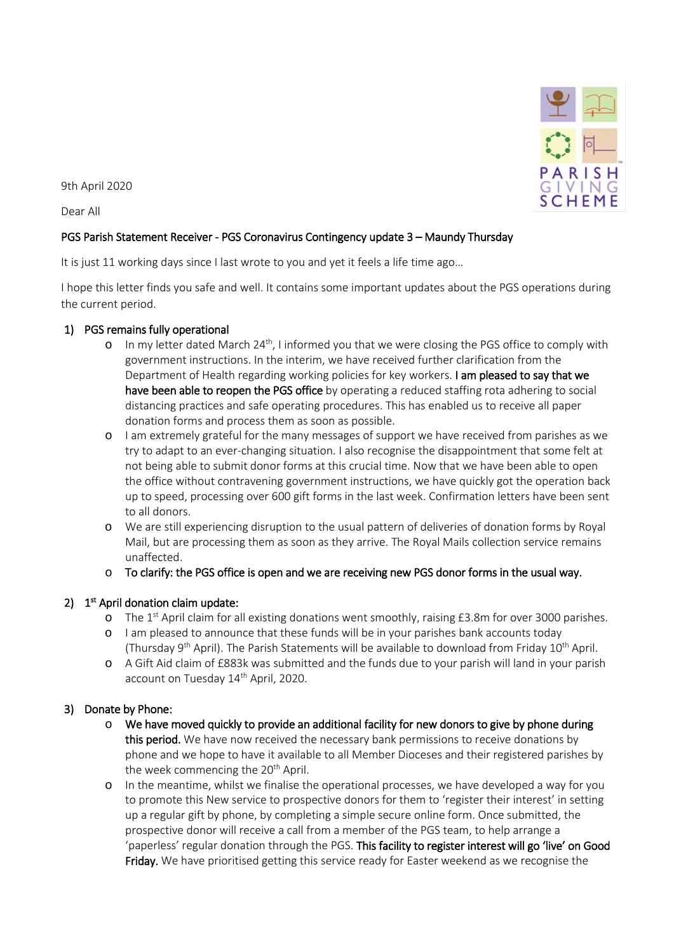

9th April 2020

Dear All

### PGS Parish Statement Receiver - PGS Coronavirus Contingency update 3 – Maundy Thursday

It is just 11 working days since I last wrote to you and yet it feels a life time ago...

I hope this letter finds you safe and well. It contains some important updates about the PGS operations during the current period.

#### 1) PGS remains fully operational

- o In my letter dated March  $24<sup>th</sup>$ , I informed you that we were closing the PGS office to comply with government instructions. In the interim, we have received further clarification from the Department of Health regarding working policies for key workers. I am pleased to say that we have been able to reopen the PGS office by operating a reduced staffing rota adhering to social distancing practices and safe operating procedures. This has enabled us to receive all paper donation forms and process them as soon as possible.
- o I am extremely grateful for the many messages of support we have received from parishes as we try to adapt to an ever-changing situation. I also recognise the disappointment that some felt at not being able to submit donor forms at this crucial time. Now that we have been able to open the office without contravening government instructions, we have quickly got the operation back up to speed, processing over 600 gift forms in the last week. Confirmation letters have been sent to all donors.
- o We are still experiencing disruption to the usual pattern of deliveries of donation forms by Royal Mail, but are processing them as soon as they arrive. The Royal Mails collection service remains unaffected.
- $\circ$  To clarify: the PGS office is open and we are receiving new PGS donor forms in the usual way.

# 2)  $1<sup>st</sup>$  April donation claim update:

- o The 1<sup>st</sup> April claim for all existing donations went smoothly, raising  $£3.8m$  for over 3000 parishes.
- o I am pleased to announce that these funds will be in your parishes bank accounts today (Thursday 9<sup>th</sup> April). The Parish Statements will be available to download from Friday  $10^{th}$  April.
- o A Gift Aid claim of £883k was submitted and the funds due to your parish will land in your parish account on Tuesday 14<sup>th</sup> April, 2020.

# 3) Donate by Phone:

- o We have moved quickly to provide an additional facility for new donors to give by phone during this period. We have now received the necessary bank permissions to receive donations by phone and we hope to have it available to all Member Dioceses and their registered parishes by the week commencing the 20<sup>th</sup> April.
- o In the meantime, whilst we finalise the operational processes, we have developed a way for you to promote this New service to prospective donors for them to 'register their interest' in setting up a regular gift by phone, by completing a simple secure online form. Once submitted, the prospective donor will receive a call from a member of the PGS team, to help arrange a 'paperless' regular donation through the PGS. This facility to register interest will go 'live' on Good Friday. We have prioritised getting this service ready for Easter weekend as we recognise the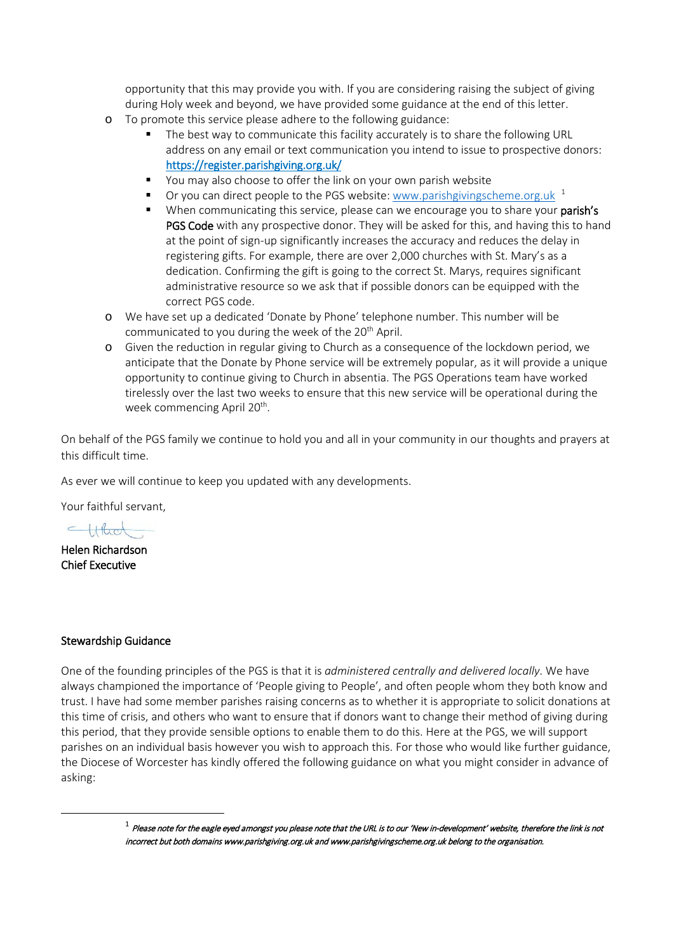opportunity that this may provide you with. If you are considering raising the subject of giving during Holy week and beyond, we have provided some guidance at the end of this letter.

- o To promote this service please adhere to the following guidance:
	- The best way to communicate this facility accurately is to share the following URL address on any email or text communication you intend to issue to prospective donors: <https://register.parishgiving.org.uk/>
	- You may also choose to offer the link on your own parish website
	- Or you can direct people to the PGS website: [www.parishgivingscheme.org.uk](http://www.parishgivingscheme.org.uk/)  $1$
	- When communicating this service, please can we encourage you to share your parish's PGS Code with any prospective donor. They will be asked for this, and having this to hand at the point of sign-up significantly increases the accuracy and reduces the delay in registering gifts. For example, there are over 2,000 churches with St. Mary's as a dedication. Confirming the gift is going to the correct St. Marys, requires significant administrative resource so we ask that if possible donors can be equipped with the correct PGS code.
- o We have set up a dedicated 'Donate by Phone' telephone number. This number will be communicated to you during the week of the 20<sup>th</sup> April.
- o Given the reduction in regular giving to Church as a consequence of the lockdown period, we anticipate that the Donate by Phone service will be extremely popular, as it will provide a unique opportunity to continue giving to Church in absentia. The PGS Operations team have worked tirelessly over the last two weeks to ensure that this new service will be operational during the week commencing April 20<sup>th</sup>.

On behalf of the PGS family we continue to hold you and all in your community in our thoughts and prayers at this difficult time.

As ever we will continue to keep you updated with any developments.

Your faithful servant,

Which

Helen Richardson Chief Executive

#### Stewardship Guidance

One of the founding principles of the PGS is that it is *administered centrally and delivered locally*. We have always championed the importance of 'People giving to People', and often people whom they both know and trust. I have had some member parishes raising concerns as to whether it is appropriate to solicit donations at this time of crisis, and others who want to ensure that if donors want to change their method of giving during this period, that they provide sensible options to enable them to do this. Here at the PGS, we will support parishes on an individual basis however you wish to approach this. For those who would like further guidance, the Diocese of Worcester has kindly offered the following guidance on what you might consider in advance of asking:

> <span id="page-1-0"></span> $^1$  Please note for the eagle eyed amongst you please note that the URL is to our 'New in-development' website, therefore the link is not incorrect but both domains www.parishgiving.org.uk and www.parishgivingscheme.org.uk belong to the organisation.